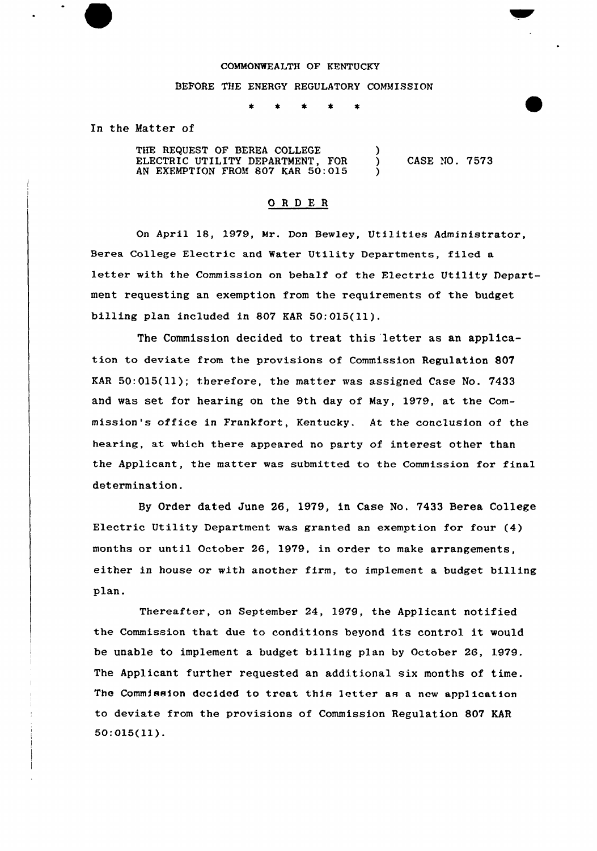## COMMONWEALTH OF KFNTUCKY

## BEFORE THE ENERGY REGULATORY COMMISSION

In the Matter of

THE REQUEST OF BEREA COLLEGE ELECTRIC UTILITY DEPARTMENT, FOR ) CASE NO. 7573 AN EXEMPTION FROM 807 KAR 50:015

## ORDER

On April 18, 1979, Mr. Don Bew1ey, Utilities Administrator, Berea College Electric and Water Utility Departments, filed a letter with the Commission on behalf of the Electric Utility Department requesting an exemption from the requirements of the budget billing plan included in 807 KAR 50:015(11).

The Commission decided to treat this letter as an application to deviate from the provisions of Commission Regulation 807 KAR 50:015(11); therefore, the matter was assigned Case No. 7433 and was set for hearing on the 9th day of May, 1979, at the Commission's office in Frankfort, Kentucky. At the conclusion of the hearing, at which there appeared no party of interest other than the Applicant, the matter was submitted to the Commission for final determination.

By Order dated June 26, 1979, in Case No. 7433 Berea College Electric Utility Department was granted an exemption for four (4) months or until October 26, 1979, in order to make arrangements, either in house or with another firm, to implement a budget billing plan.

Thereafter, on September 24, 1979, the Applicant notified the Commission that due to conditions beyond its control it would be unable to implement a budget billing plan by October 2G, 1979. The Applicant further requested an additional six months of time. The Commission decided to treat this letter as a new appl ication to deviate from the provisions of Commission Regulation 807 KAR 50:015(11).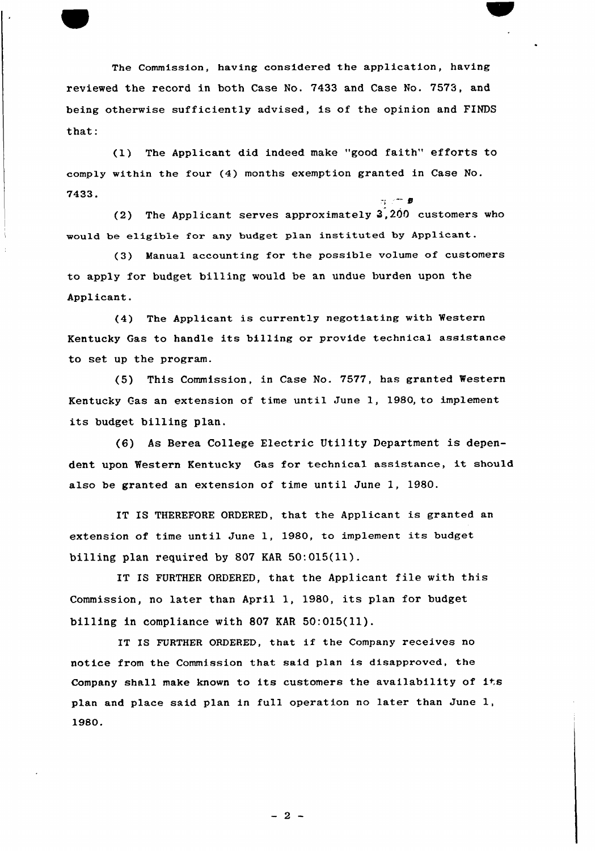The Commission, having considered the application, having reviewed the record in both Case No. 7433 and Case No. 7573, and being otherwise sufficiently advised, is of the opinion and FINDS that:

(1) The Applicant did indeed make "good faith" efforts to comply within the four (4) months exemption granted in Case No. 7433.

(2) The Applicant serves approximately 3,200 customers who would be eligible for any budget plan instituted by Applicant.

(3) Manual accounting for the possible volume of customers to apply for budget billing would be an undue burden upon the Applicant.

(4) The Applicant is currently negotiating with Western Kentucky Gas to handle its billing or provide technical assistance to set up the program.

(5) This Commission, in Case No. 7577, has granted Western Kentucky Gas an extension of time until June 1, 19SQ, to implement its budget billing plan.

(6) As Berea College Electric Utility Department is dependent upon Western Kentucky Gas for technica1 assistance, it should also be granted an extension of time until June 1, 1980.

IT IS THEREFORE ORDERED, that the Applicant is granted an extension of time until June 1, 19SO, to implement its budget billing plan required by 807 KAR 50:015{11).

IT IS FURTHER ORDERED, that the Applicant file with this Commission, no later than April 1, 1980, its plan for budget billing in compliance with 807 KAR 50:015{11).

IT IS FURTHER ORDERED, that if the Company receives no notice from the Commission that said plan is disapproved, the Company shall make known to its customers the availability of its plan and place said plan in full operation no later than June 1, 1980.

 $-2-$